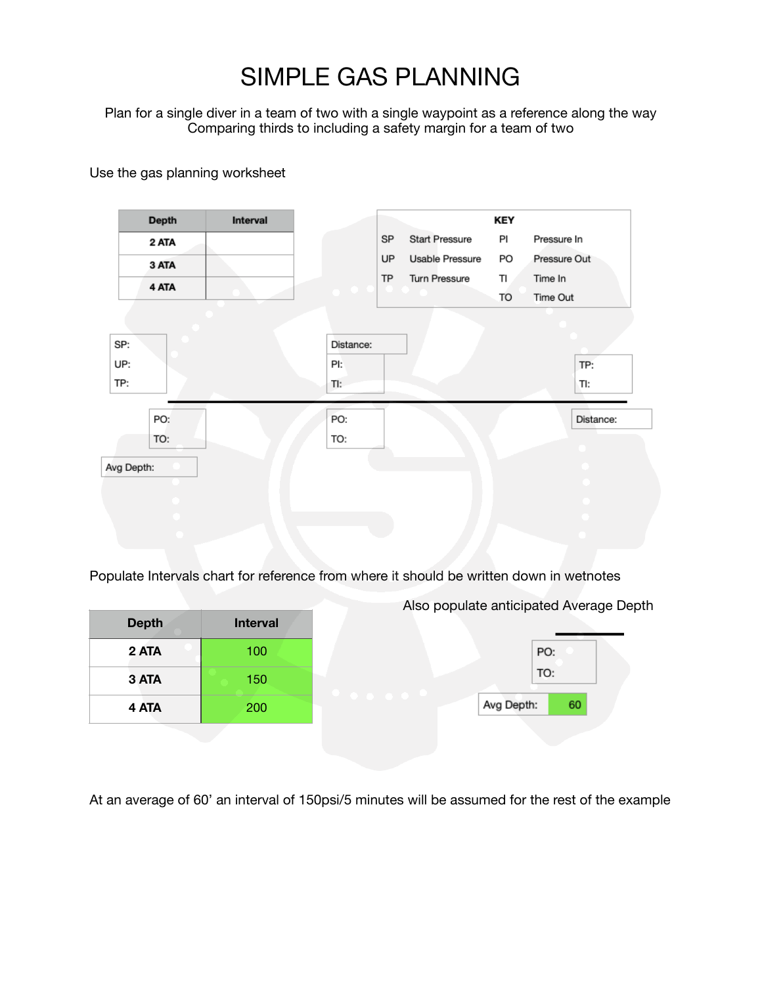## SIMPLE GAS PLANNING

Plan for a single diver in a team of two with a single waypoint as a reference along the way Comparing thirds to including a safety margin for a team of two

Use the gas planning worksheet

| Depth      | Interval |           |    |                       | <b>KEY</b> |              |
|------------|----------|-----------|----|-----------------------|------------|--------------|
| 2 ATA      |          |           | SP | <b>Start Pressure</b> | PI         | Pressure In  |
| 3 ATA      |          |           | UP | Usable Pressure       | PO         | Pressure Out |
| 4 ATA      |          |           | TP | Turn Pressure         | TI         | Time In      |
|            |          |           |    |                       | TO         | Time Out     |
|            |          |           |    |                       |            |              |
| SP:        |          | Distance: |    |                       |            |              |
| UP:        |          | PI:       |    |                       |            | TP:          |
| TP:        |          | TI:       |    |                       |            | TI:          |
|            |          |           |    |                       |            |              |
| PO:        |          | PO:       |    |                       |            | Distance:    |
| TO:        |          | TO:       |    |                       |            |              |
| Avg Depth: |          |           |    |                       |            |              |
|            |          |           |    |                       |            |              |
|            |          |           |    |                       |            |              |
|            |          |           |    |                       |            |              |
|            |          |           |    |                       |            |              |

Populate Intervals chart for reference from where it should be written down in wetnotes

|              | Also populate anticipated Average Depth |                  |  |  |  |
|--------------|-----------------------------------------|------------------|--|--|--|
| <b>Depth</b> | <b>Interval</b>                         |                  |  |  |  |
| 2 ATA        | 100                                     | PO:              |  |  |  |
| 3 ATA        | 150                                     | TO:              |  |  |  |
| 4 ATA        | 200                                     | Avg Depth:<br>60 |  |  |  |
|              |                                         |                  |  |  |  |

At an average of 60' an interval of 150psi/5 minutes will be assumed for the rest of the example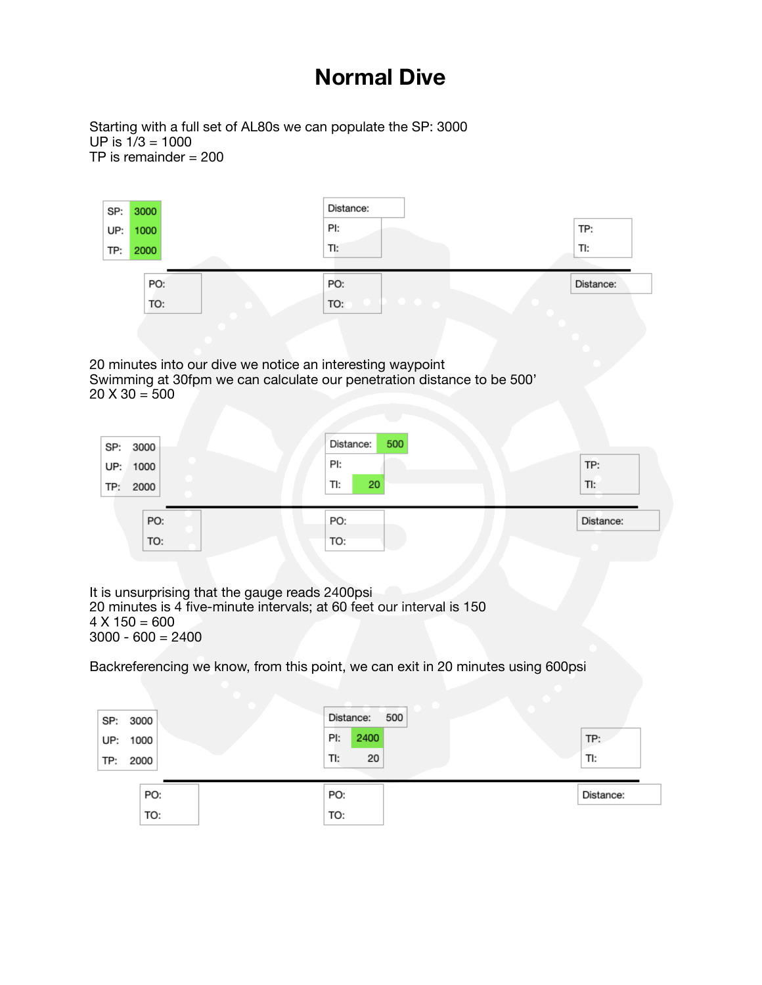## **Normal Dive**

Starting with a full set of AL80s we can populate the SP: 3000 UP is 1/3 = 1000 TP is remainder = 200

| 3000<br>SP:                                                | Distance:                                                                        |           |
|------------------------------------------------------------|----------------------------------------------------------------------------------|-----------|
| 1000<br>UP:                                                | PI:                                                                              | TP:       |
| 2000<br>TP:                                                | TI:                                                                              | TI:       |
| PO:                                                        | PO:                                                                              | Distance: |
| TO:                                                        | TO:                                                                              |           |
|                                                            |                                                                                  |           |
|                                                            |                                                                                  |           |
| 20 minutes into our dive we notice an interesting waypoint |                                                                                  |           |
| $20 X 30 = 500$                                            | Swimming at 30fpm we can calculate our penetration distance to be 500'           |           |
|                                                            |                                                                                  |           |
|                                                            | Distance:<br>500                                                                 |           |
| SP:<br>3000<br>UP:<br>1000                                 | PI:                                                                              | TP:       |
| TP:<br>2000                                                | TI:<br>20                                                                        | TI:       |
|                                                            |                                                                                  |           |
| PO:                                                        | PO:                                                                              | Distance: |
| TO:                                                        | TO:                                                                              |           |
|                                                            |                                                                                  |           |
| It is unsurprising that the gauge reads 2400psi            |                                                                                  |           |
| $4 X 150 = 600$                                            | 20 minutes is 4 five-minute intervals; at 60 feet our interval is 150            |           |
| $3000 - 600 = 2400$                                        |                                                                                  |           |
|                                                            |                                                                                  |           |
|                                                            | Backreferencing we know, from this point, we can exit in 20 minutes using 600psi |           |
|                                                            |                                                                                  |           |
| 3000<br>SP:                                                | Distance:<br>500                                                                 |           |
| UP:<br>1000                                                | PI:<br>2400                                                                      | TP:       |
| TP:<br>2000                                                | 20<br>TI:                                                                        | TI:       |
| PO:                                                        | PO:                                                                              | Distance: |
| TO:                                                        | TO:                                                                              |           |
|                                                            |                                                                                  |           |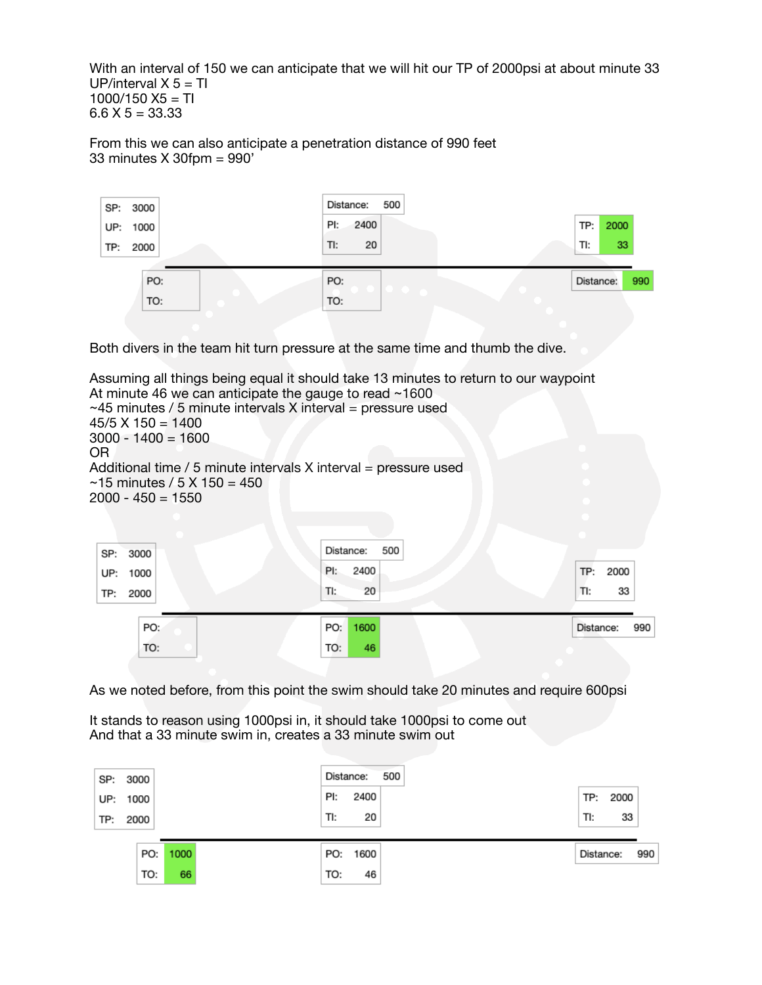With an interval of 150 we can anticipate that we will hit our TP of 2000psi at about minute 33 UP/interval  $X$  5 = TI  $1000/150$  X5 = TI  $6.6$  X 5 = 33.33

From this we can also anticipate a penetration distance of 990 feet 33 minutes X 30fpm = 990'



Both divers in the team hit turn pressure at the same time and thumb the dive.

Assuming all things being equal it should take 13 minutes to return to our waypoint At minute 46 we can anticipate the gauge to read ~1600  $~1$ –45 minutes / 5 minute intervals X interval = pressure used  $45/5$  X 150 = 1400  $3000 - 1400 = 1600$ OR Additional time  $/ 5$  minute intervals X interval = pressure used  $~15$  minutes / 5 X 150 = 450  $2000 - 450 = 1550$ Distance: 500 SP: 3000 PI: 2400 TP: 2000 UP: 1000 TI: 20 TI: 33 2000 TP: PO: PO: 1600 Distance: 990 TO: TO: 46

As we noted before, from this point the swim should take 20 minutes and require 600psi

It stands to reason using 1000psi in, it should take 1000psi to come out And that a 33 minute swim in, creates a 33 minute swim out

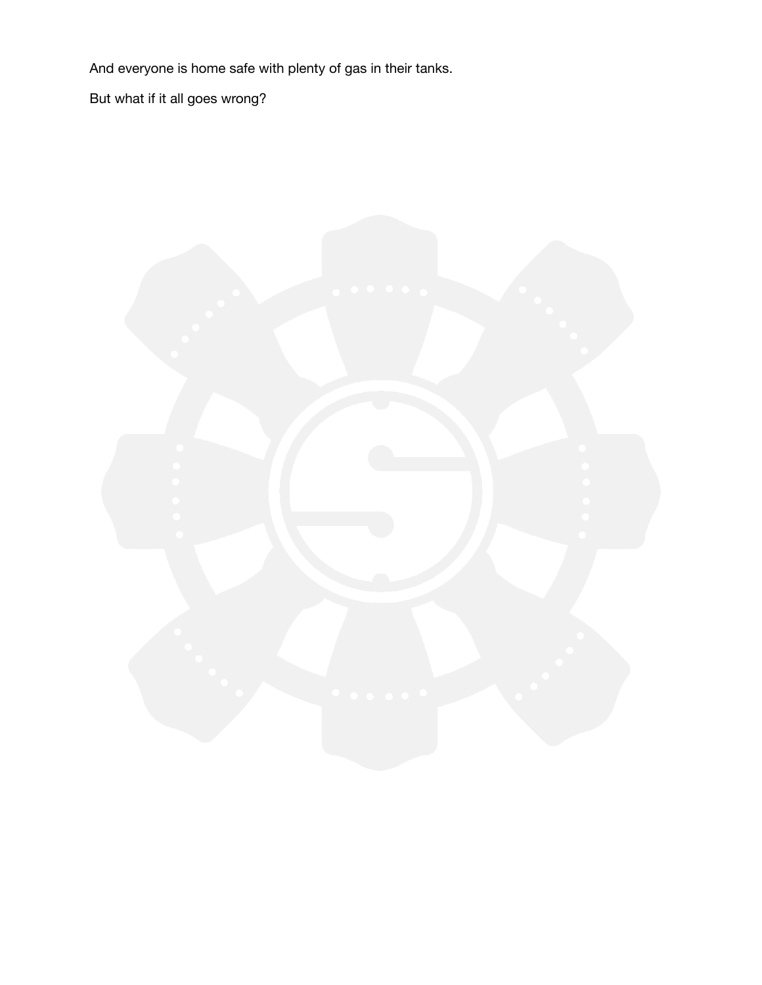And everyone is home safe with plenty of gas in their tanks.

But what if it all goes wrong?

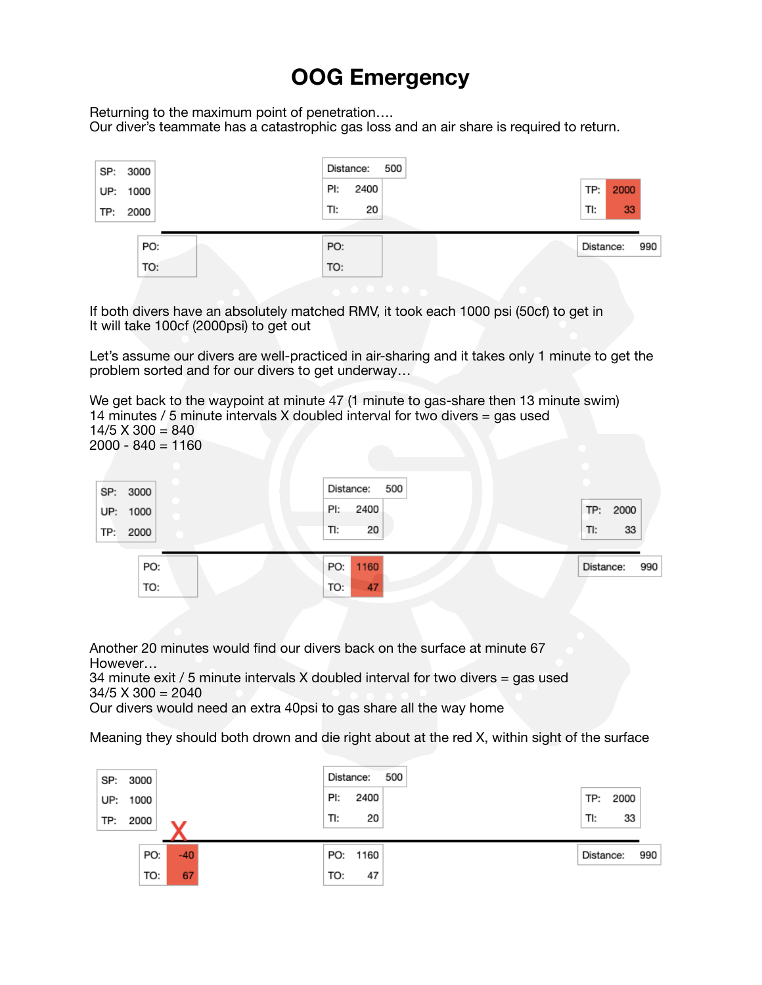## **OOG Emergency**

Returning to the maximum point of penetration….

Our diver's teammate has a catastrophic gas loss and an air share is required to return.

| SP: 3000<br>UP: 1000<br>TP: 2000 | 500<br>Distance:<br>2400<br>PI:<br>TI:<br>20 | 2000<br>TP:<br>33<br>TI: |
|----------------------------------|----------------------------------------------|--------------------------|
| PO:                              | PO:                                          | Distance:                |
| TO:                              | TO:                                          | 990                      |

If both divers have an absolutely matched RMV, it took each 1000 psi (50cf) to get in It will take 100cf (2000psi) to get out

Let's assume our divers are well-practiced in air-sharing and it takes only 1 minute to get the problem sorted and for our divers to get underway…

We get back to the waypoint at minute 47 (1 minute to gas-share then 13 minute swim) 14 minutes / 5 minute intervals X doubled interval for two divers = gas used  $14/5$  X 300 = 840  $2000 - 840 = 1160$ 

| SP: 3000    | Distance:<br>500 |                  |
|-------------|------------------|------------------|
| UP: 1000    | PI:<br>2400      | TP: 2000         |
| 2000<br>TP: | 20<br>TI:        | 33<br>TI:        |
| PO:         | 1160<br>PO:      | 990<br>Distance: |
| TO:         | TO:<br>47        |                  |

Another 20 minutes would find our divers back on the surface at minute 67 However…

34 minute exit / 5 minute intervals X doubled interval for two divers = gas used  $34/5$  X  $300 = 2040$ 

Our divers would need an extra 40psi to gas share all the way home

Meaning they should both drown and die right about at the red X, within sight of the surface

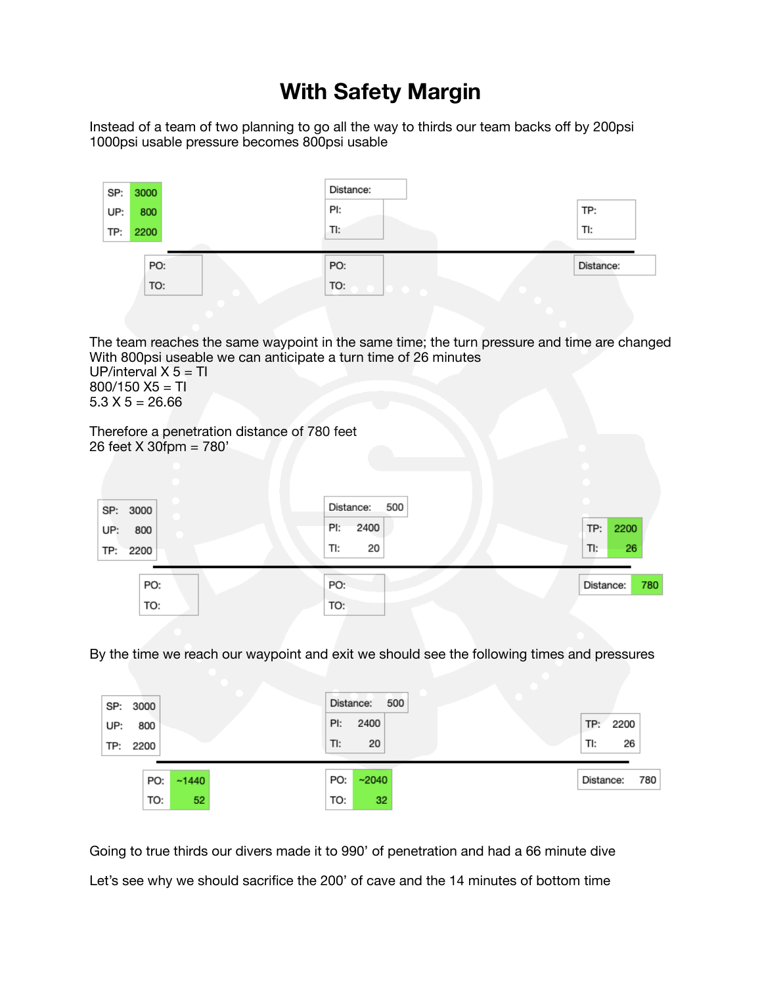## **With Safety Margin**

Instead of a team of two planning to go all the way to thirds our team backs off by 200psi 1000psi usable pressure becomes 800psi usable

| SP: | 3000 | Distance: |           |
|-----|------|-----------|-----------|
| UP: | 800  | PI:       | TP:       |
| TP: | 2200 | TI:       | TI:       |
|     |      |           |           |
|     | PO:  | PO:       | Distance: |
|     | TO:  | TO:       |           |
|     |      |           |           |

The team reaches the same waypoint in the same time; the turn pressure and time are changed With 800psi useable we can anticipate a turn time of 26 minutes UP/interval  $X$  5 = TI  $800/150$  X5 = Tl  $5.3 X 5 = 26.66$ 

Therefore a penetration distance of 780 feet 26 feet X 30fpm = 780'

| SP: 3000<br>UP:<br>800<br>TP: 2200 | Distance:<br>2400<br>PI:<br>20<br>TI: | 500 | TP:<br>TI: | 2200<br>26 |
|------------------------------------|---------------------------------------|-----|------------|------------|
| PO:<br>TO:                         | PO:<br>TO:                            |     | Distance:  | 780        |

By the time we reach our waypoint and exit we should see the following times and pressures

| SP: 3000               |              |    | Distance:<br>PI: | 2400  | 500 | TP:       | 2200 |     |
|------------------------|--------------|----|------------------|-------|-----|-----------|------|-----|
| 800<br>UP:<br>TP: 2200 |              |    | TI:              | 20    |     | TI:       | 26   |     |
|                        | ~1440<br>PO: |    | PO:              | ~2040 |     | Distance: |      | 780 |
|                        | TO:          | 52 | TO:              | 32    |     |           |      |     |

Going to true thirds our divers made it to 990' of penetration and had a 66 minute dive Let's see why we should sacrifice the 200' of cave and the 14 minutes of bottom time